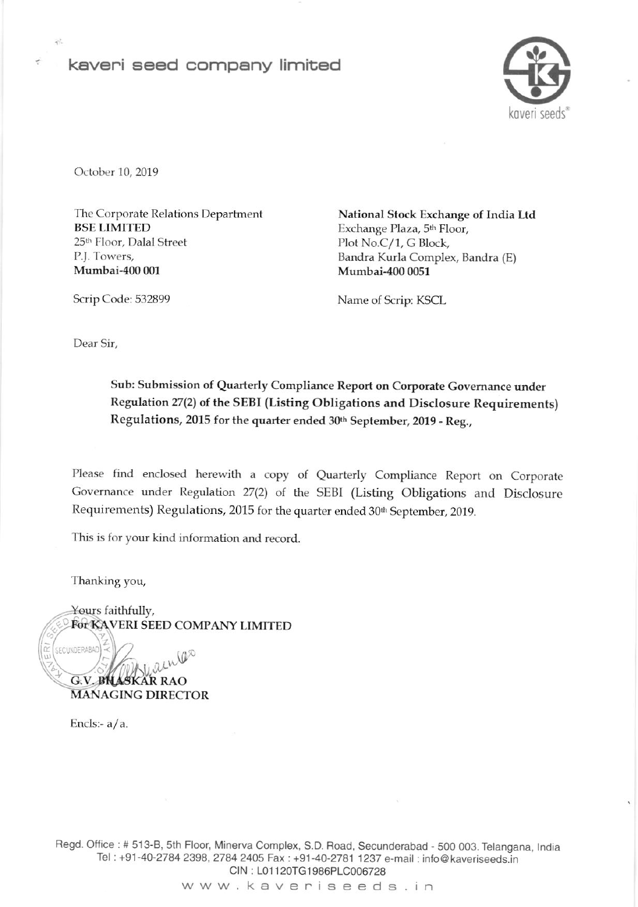# kaveri seed company limited



October 10, 2019

祥

The Corporate Relations Department BSE LIMITED 25<sup>th</sup> Floor, Dalal Street P.J. Towers, Mumbai-400 001

National Stock Exchange of lndia Ltd Exchange Plaza, 5'h Floor, Plot No.C/1, G Block, Bandra Kurla Complex, Bandra (E) Mumbai-400 0051

Scrip Code: 532899 Name of Scrip: KSCL

Dear Sir,

Sub: Submission of Quarterty Compliance Report on Corporate Governance under Regulation 27(2) of the SEBI (Listing Obligations and Disclosure Requirements) Regulations, 2015 for the quarter ended 30th September, 2019 - Reg.,

Please find enclosed herewith a copy of Quarterly Compliance Report on Corporate Governance under Regulation 27(2) of the SEBI (Listing Obligations and Disclosure Requirements) Regulations, 2015 for the quarter ended 30<sup>th</sup> September, 2019.

This is for your kind information and record.

Thanking you,

'z

SECUNDERABAD)

Yours faithfully, For KAVERI SEED COMPANY LIMITED

 $a_{\mu\nu}$ G.V. **BNAS**KAR RAO **MANAGING DIRECTOR** 

Encls:- $a/a$ .

Regd. Office : # 513-B, 5th Floor, Minerva Complex, S.D. Road, Secunderabad - 500 003. Telangana, India Tel : +91-40-2784 2398,2784 2405 Fax: +91-40-2781 1237 e-mail : info @ kaveriseeds.in CIN: L01120TG1986PLC006728

www.kaveriseeds.in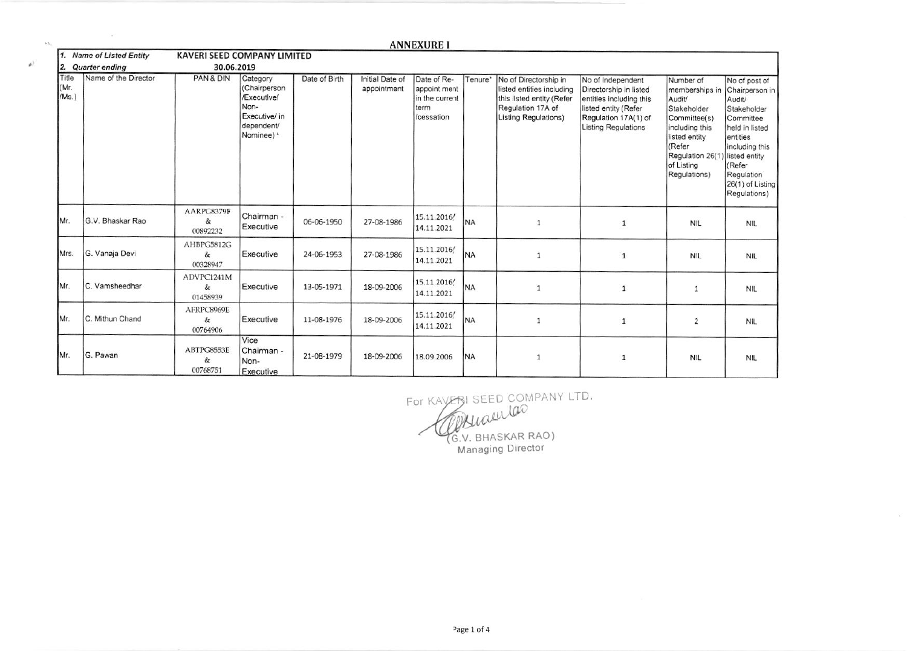|                        |                                           |                                    |                                                                                              |               |                                | <b>ANNEXURE I</b>                                                   |           |                                                                                                                              |                                                                                                                                               |                                                                                                                                                                     |                                                                                                                                                                                                    |
|------------------------|-------------------------------------------|------------------------------------|----------------------------------------------------------------------------------------------|---------------|--------------------------------|---------------------------------------------------------------------|-----------|------------------------------------------------------------------------------------------------------------------------------|-----------------------------------------------------------------------------------------------------------------------------------------------|---------------------------------------------------------------------------------------------------------------------------------------------------------------------|----------------------------------------------------------------------------------------------------------------------------------------------------------------------------------------------------|
|                        | 1. Name of Listed Entity                  | <b>KAVERI SEED COMPANY LIMITED</b> |                                                                                              |               |                                |                                                                     |           |                                                                                                                              |                                                                                                                                               |                                                                                                                                                                     |                                                                                                                                                                                                    |
| Title<br>(Mr.<br>/Ms.) | 2. Quarter ending<br>Name of the Director | 30.06.2019<br>PAN & DIN            | Category<br>(Chairperson<br>/Executive/<br>Non-<br>Executive/ in<br>dependent/<br>Nominee) * | Date of Birth | Initial Date of<br>appointment | Date of Re-<br>appoint ment<br>in the current<br>term<br>/cessation | Tenure*   | No of Directorship in<br>listed entities including<br>this listed entity (Refer<br>Regulation 17A of<br>Listing Regulations) | No of Independent<br>Directorship in listed<br>entities including this<br>listed entity (Refer<br>Regulation 17A(1) of<br>Listing Regulations | Number of<br>memberships in<br>Audit/<br>Stakeholder<br>Committee(s)<br>including this<br>listed entity<br>(Refer<br>Regulation 26(1)<br>of Listing<br>Regulations) | No of post of<br>Chairperson in<br>Audit/<br>Stakeholder<br>Committee<br>held in listed<br>entities<br>including this<br>listed entity<br>(Refer<br>Regulation<br>26(1) of Listing<br>Regulations) |
| Mr.                    | G.V. Bhaskar Rao                          | AARPG8379F<br>&<br>00892232        | Chairman -<br>Executive                                                                      | 06-06-1950    | 27-08-1986                     | 15.11.2016/<br>14.11.2021                                           | <b>NA</b> | $\mathbf{1}$                                                                                                                 | 1                                                                                                                                             | <b>NIL</b>                                                                                                                                                          | <b>NIL</b>                                                                                                                                                                                         |
| Mrs.                   | G. Vanaja Devi                            | AHBPG5812G<br>&<br>00328947        | Executive                                                                                    | 24-06-1953    | 27-08-1986                     | 15.11.2016/<br>14.11.2021                                           | <b>NA</b> | $\mathbf{1}$                                                                                                                 | $\mathbf{1}$                                                                                                                                  | <b>NIL</b>                                                                                                                                                          | <b>NIL</b>                                                                                                                                                                                         |
| Mr.                    | C. Vamsheedhar                            | ADVPC1241M<br>&<br>01458939        | Executive                                                                                    | 13-05-1971    | 18-09-2006                     | 15.11.2016/<br>14.11.2021                                           | <b>NA</b> | 1                                                                                                                            | 1                                                                                                                                             | $\mathbf{1}$                                                                                                                                                        | <b>NIL</b>                                                                                                                                                                                         |
| Mr.                    | C. Mithun Chand                           | AFRPC8969E<br>&<br>00764906        | Executive                                                                                    | 11-08-1976    | 18-09-2006                     | 15.11.2016/<br>14.11.2021                                           | <b>NA</b> | $\mathbf{1}$                                                                                                                 | $\mathbf{1}$                                                                                                                                  | $\overline{2}$                                                                                                                                                      | <b>NIL</b>                                                                                                                                                                                         |
| Mr.                    | G. Pawan                                  | ABTPG8553E<br>&<br>00768751        | Vice<br>Chairman -<br>Non-<br>Executive                                                      | 21-08-1979    | 18-09-2006                     | 18.09.2006                                                          | <b>NA</b> | 1                                                                                                                            | $\mathbf{1}$                                                                                                                                  | <b>NIL</b>                                                                                                                                                          | <b>NIL</b>                                                                                                                                                                                         |

o.

 $\mathbb{A}^3$ 

 $\frac{1}{2}$ 

For KAVERI SEED COMPANY LTD.<br>COMMULACO<br>G.V. BHASKAR RAO)<br>Managing Director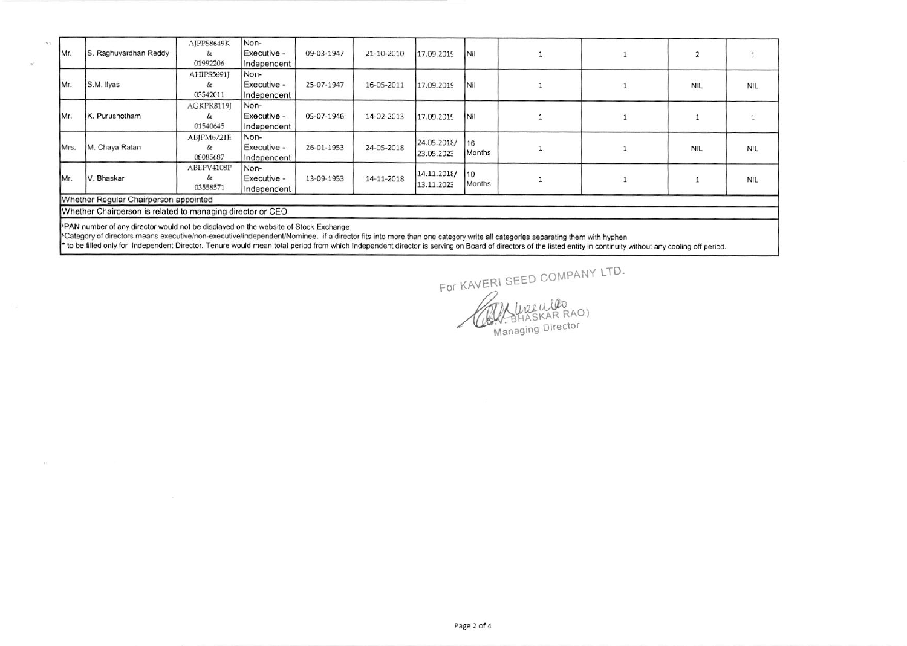|      |                                                            | AIPPS8649K | Non-        |            |            |                           |               |   |  |            |            |
|------|------------------------------------------------------------|------------|-------------|------------|------------|---------------------------|---------------|---|--|------------|------------|
| Mr.  | S. Raghuvardhan Reddy                                      | &          | Executive - | 09-03-1947 | 21-10-2010 | 17.09.2019                | INil          |   |  |            |            |
|      |                                                            | 01992206   | Independent |            |            |                           |               |   |  |            |            |
|      |                                                            | AHIPS5691J | Non-        |            |            |                           |               |   |  |            |            |
| Mr.  | S.M. Ilyas                                                 | &.         | Executive - | 25-07-1947 | 16-05-2011 | 17.09.2019                | Nil           |   |  | <b>NIL</b> | <b>NIL</b> |
|      |                                                            | 03542011   | Independent |            |            |                           |               |   |  |            |            |
|      |                                                            | AGKPK8119J | Non-        |            |            |                           |               |   |  |            |            |
| Mr.  | IK. Purushotham                                            | &c         | Executive - | 05-07-1946 | 14-02-2013 | 17.09.2019                | Nil           |   |  |            |            |
|      |                                                            | 01540645   | Independent |            |            |                           |               |   |  |            |            |
|      |                                                            | ABJPM6721E | Non-        |            |            |                           | 116           |   |  |            |            |
| Mrs. | M. Chaya Ratan                                             | &          | Executive - | 26-01-1953 | 24-05-2018 | 24.05.2018/<br>23.05.2023 | Months        | ۰ |  | NIL        | <b>NIL</b> |
|      |                                                            | 08085687   | Independent |            |            |                           |               |   |  |            |            |
|      |                                                            | ABEPV4108P | Non-        |            |            |                           |               |   |  |            |            |
| Mr.  | V. Bhaskar                                                 | &          | Executive - | 13-09-1953 | 14-11-2018 | 14.11.2018/               | 110<br>Months |   |  |            | <b>NIL</b> |
|      |                                                            | 03558571   | Independent |            |            | 13.11.2023                |               |   |  |            |            |
|      | Whether Regular Chairperson appointed                      |            |             |            |            |                           |               |   |  |            |            |
|      | Whether Chairperson is related to managing director or CEO |            |             |            |            |                           |               |   |  |            |            |
|      |                                                            |            |             |            |            |                           |               |   |  |            |            |

PAN number of any director would not be displayed on the website of Stock Exchange

\*Category of directors means executive/non-executive/independent/Nominee. if a director fits into more than one category write all categories separating them with hyphen

\* to be filled only for Independent Director. Tenure would mean total period from which Independent director is serving on Board of directors of the listed entity in continuity without any cooling off period.

For KAVERI SEED COMPANY LTD. WHATARRAD Managing Director

Page 2 of 4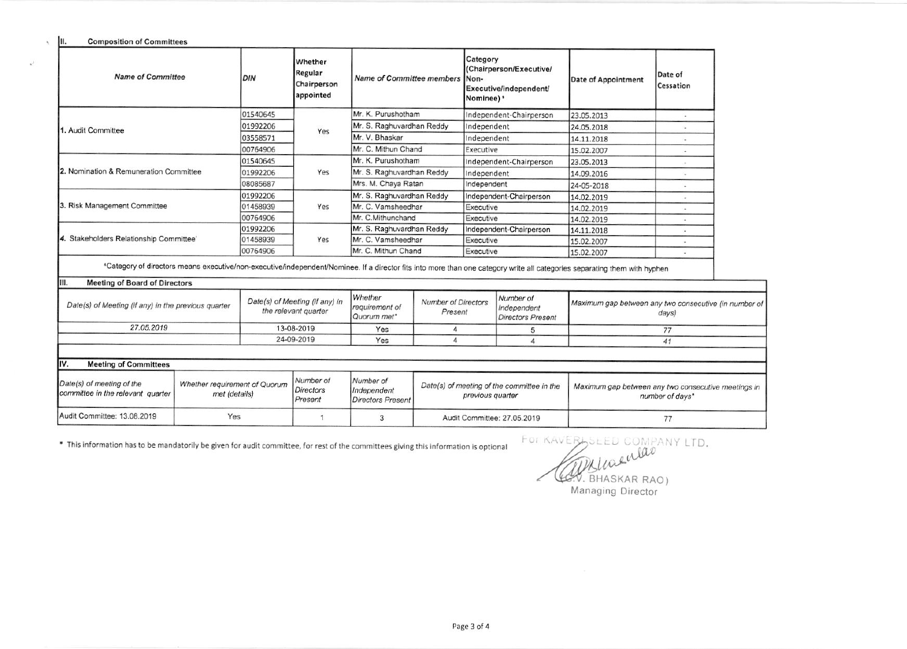**Composition of Committees** 

III.

 $\mathbf{a}^{\mathcal{S}}$ 

| <b>Name of Committee</b>                                                                                                                                                                                                  | DIN                                                    | <b>Whether</b><br>Regular<br>Chairperson<br>appointed | <b>Name of Committee members</b>         |                                       | Category<br>Non-<br>Nominee)' | (Chairperson/Executive/<br>Executive/independent/    | Date of Appointment | Date of<br>Cessation                                           |
|---------------------------------------------------------------------------------------------------------------------------------------------------------------------------------------------------------------------------|--------------------------------------------------------|-------------------------------------------------------|------------------------------------------|---------------------------------------|-------------------------------|------------------------------------------------------|---------------------|----------------------------------------------------------------|
|                                                                                                                                                                                                                           | 01540645                                               |                                                       | Mr. K. Purushotham                       |                                       |                               | Independent-Chairperson                              | 23.05.2013          | $\sim$                                                         |
| 1. Audit Committee                                                                                                                                                                                                        | 01992206                                               | Yes                                                   | Mr. S. Raghuvardhan Reddy                |                                       | Independent                   |                                                      | 24.05.2018          | $\sim$                                                         |
|                                                                                                                                                                                                                           | 03558571                                               |                                                       | Mr. V. Bhaskar                           |                                       | Independent                   |                                                      | 14.11.2018          | $\sim$                                                         |
|                                                                                                                                                                                                                           | 00764906                                               |                                                       | Mr. C. Mithun Chand                      |                                       | Executive                     |                                                      | 15.02.2007          | $\sim$                                                         |
|                                                                                                                                                                                                                           | 01540645                                               |                                                       | Mr. K. Purushotham                       |                                       |                               | Independent-Chairperson                              | 23.05.2013          | $\sim$                                                         |
| 2. Nomination & Remuneration Committee                                                                                                                                                                                    | 01992206                                               | Yes                                                   | Mr. S. Raghuvardhan Reddy                |                                       | Independent                   |                                                      | 14.09.2016          |                                                                |
|                                                                                                                                                                                                                           | 08085687                                               |                                                       | Mrs. M. Chaya Ratan                      |                                       | Independent                   |                                                      | 24-05-2018          |                                                                |
|                                                                                                                                                                                                                           | 01992206                                               |                                                       | Mr. S. Raghuvardhan Reddy                |                                       | Independent-Chairperson       |                                                      | 14.02.2019          |                                                                |
| 3. Risk Management Committee                                                                                                                                                                                              | 01458939                                               | Yes                                                   | Mr. C. Vamsheedhar                       |                                       | Executive                     |                                                      | 14.02.2019          | $\sim$                                                         |
|                                                                                                                                                                                                                           | 00764906                                               |                                                       | Mr. C.Mithunchand                        |                                       | Executive                     |                                                      | 14.02.2019          | i.                                                             |
|                                                                                                                                                                                                                           | 01992206                                               |                                                       | Mr. S. Raghuvardhan Reddy                |                                       |                               | Independent-Chairperson                              | 14.11.2018          | $\overline{\phantom{a}}$                                       |
| 4. Stakeholders Relationship Committee'                                                                                                                                                                                   | 01458939                                               | Yes                                                   | Mr. C. Vamsheedhar                       |                                       | Executive                     |                                                      | 15.02.2007          | $\blacksquare$                                                 |
|                                                                                                                                                                                                                           | 00764906                                               |                                                       | Mr. C. Mithun Chand                      |                                       | Executive                     |                                                      | 15.02.2007          |                                                                |
| "Category of directors means executive/non-executive/independent/Nominee. If a director fits into more than one category write all categories separating them with hyphen<br>HII.<br><b>Meeting of Board of Directors</b> |                                                        |                                                       |                                          |                                       |                               |                                                      |                     |                                                                |
| Date(s) of Meeting (if any) in the previous quarter                                                                                                                                                                       | Date(s) of Meeting (if any) in<br>the relevant quarter |                                                       | Whether<br>requirement of<br>Quorum met* | <b>Number of Directors</b><br>Present |                               | Number of<br>Independent<br><b>Directors Present</b> |                     | Maximum gap between any two consecutive (in number of<br>days) |
| 27.05.2019                                                                                                                                                                                                                | 13-08-2019                                             |                                                       | Yes                                      | 4                                     |                               | 5                                                    | 77                  |                                                                |
|                                                                                                                                                                                                                           |                                                        | 24-09-2019                                            | Yes<br>4                                 |                                       |                               |                                                      |                     | 41                                                             |

| I۱۷<br><b>Meeting of Committees</b>                              |                                                |                                   |                                               |                                                                |                                                                        |  |  |  |  |  |
|------------------------------------------------------------------|------------------------------------------------|-----------------------------------|-----------------------------------------------|----------------------------------------------------------------|------------------------------------------------------------------------|--|--|--|--|--|
| Date(s) of meeting of the<br>committee in the relevant quarter I | Whether requirement of Quorum<br>met (details) | Number of<br>Directors<br>Present | Number of<br>Independent<br>Directors Present | Date(s) of meeting of the committee in the<br>previous quarter | Maximum gap between any two consecutive meetings in<br>number of days* |  |  |  |  |  |
| Audit Committee: 13.08.2019                                      | Yes                                            |                                   |                                               | Audit Committee: 27.05.2019                                    |                                                                        |  |  |  |  |  |

\* This information has to be mandatorily be given for audit committee, for rest of the committees giving this information is optional

FOR KAVERLSLED COMPANY LTD. (COV. BHASKAR RAO)

Managing Director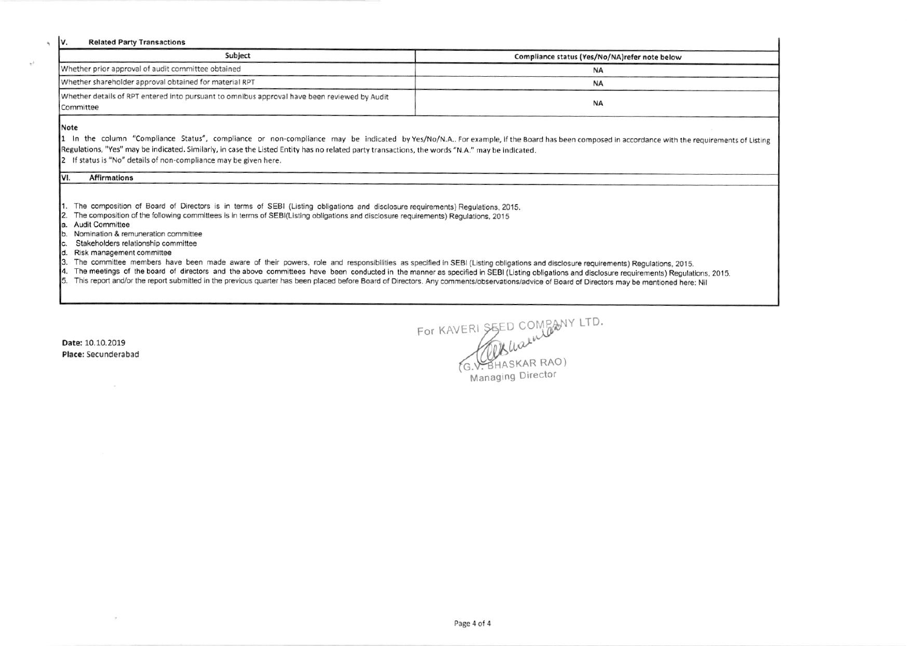#### **Related Party Transactions**

| Subject                                                                                                   | Compliance status (Yes/No/NA)refer note below |
|-----------------------------------------------------------------------------------------------------------|-----------------------------------------------|
| Whether prior approval of audit committee obtained                                                        | <b>NA</b>                                     |
| Whether shareholder approval obtained for material RPT                                                    | <b>NA</b>                                     |
| Whether details of RPT entered into pursuant to omnibus approval have been reviewed by Audit<br>Committee | <b>NA</b>                                     |

Note

Iv.

1 In the column "Compliance Status", compliance or non-compliance may be indicated by Yes/No/N.A.. For example, if the Board has been composed in accordance with the requirements of Listing Regulations, "Yes" may be indicated. Similarly, in case the Listed Entity has no related party transactions, the words "N.A." may be indicated.

2 If status is "No" details of non-compliance may be given here.

#### VI. **Affirmations**

1. The composition of Board of Directors is in terms of SEBI (Listing obligations and disclosure requirements) Regulations, 2015.

- 2. The composition of the following committees is in terms of SEBI(Listing obligations and disclosure requirements) Regulations, 2015
- a. Audit Committee
- b. Nomination & remuneration committee
- Stakeholders relationship committee Ic.
- d. Risk management committee
- 3. The committee members have been made aware of their powers, role and responsibilities as specified in SEBI (Listing obligations and disclosure requirements) Regulations, 2015.
- The meetings of the board of directors and the above committees have been conducted in the manner as specified in SEBI (Listing obligations and disclosure requirements) Regulations, 2015. 14.
- 5. This report and/or the report submitted in the previous quarter has been placed before Board of Directors. Any comments/observations/advice of Board of Directors may be mentioned here: Nil

Date: 10.10.2019 Place: Secunderabad FOR KAVERI SEED COMPANY LTD.<br>(G.V. BHASKAR RAO) Managing Director